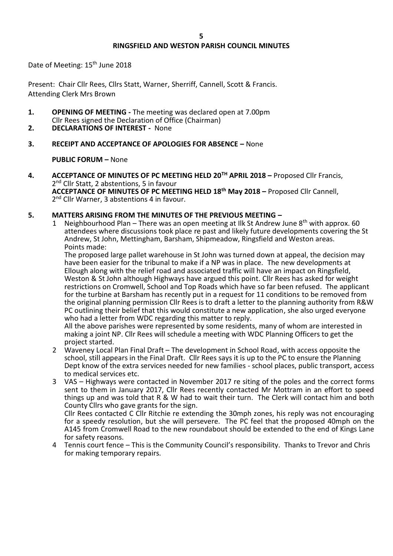## **RINGSFIELD AND WESTON PARISH COUNCIL MINUTES**

Date of Meeting: 15<sup>th</sup> June 2018

Present: Chair Cllr Rees, Cllrs Statt, Warner, Sherriff, Cannell, Scott & Francis. Attending Clerk Mrs Brown

- **1. OPENING OF MEETING -** The meeting was declared open at 7.00pm Cllr Rees signed the Declaration of Office (Chairman)
- **2. DECLARATIONS OF INTEREST** None

#### **3. RECEIPT AND ACCEPTANCE OF APOLOGIES FOR ABSENCE –** None

#### **PUBLIC FORUM –** None

**4. ACCEPTANCE OF MINUTES OF PC MEETING HELD 20TH APRIL 2018 –** Proposed Cllr Francis, 2<sup>nd</sup> Cllr Statt, 2 abstentions, 5 in favour **ACCEPTANCE OF MINUTES OF PC MEETING HELD 18th May 2018 –** Proposed Cllr Cannell, 2<sup>nd</sup> Cllr Warner, 3 abstentions 4 in favour.

#### **5. MATTERS ARISING FROM THE MINUTES OF THE PREVIOUS MEETING –**

1 Neighbourhood Plan – There was an open meeting at Ilk St Andrew June  $8<sup>th</sup>$  with approx. 60 attendees where discussions took place re past and likely future developments covering the St Andrew, St John, Mettingham, Barsham, Shipmeadow, Ringsfield and Weston areas. Points made:

The proposed large pallet warehouse in St John was turned down at appeal, the decision may have been easier for the tribunal to make if a NP was in place. The new developments at Ellough along with the relief road and associated traffic will have an impact on Ringsfield, Weston & St John although Highways have argued this point. Cllr Rees has asked for weight restrictions on Cromwell, School and Top Roads which have so far been refused. The applicant for the turbine at Barsham has recently put in a request for 11 conditions to be removed from the original planning permission Cllr Rees is to draft a letter to the planning authority from R&W PC outlining their belief that this would constitute a new application, she also urged everyone who had a letter from WDC regarding this matter to reply.

All the above parishes were represented by some residents, many of whom are interested in making a joint NP. Cllr Rees will schedule a meeting with WDC Planning Officers to get the project started.

- 2 Waveney Local Plan Final Draft The development in School Road, with access opposite the school, still appears in the Final Draft. Cllr Rees says it is up to the PC to ensure the Planning Dept know of the extra services needed for new families - school places, public transport, access to medical services etc.
- 3 VAS Highways were contacted in November 2017 re siting of the poles and the correct forms sent to them in January 2017, Cllr Rees recently contacted Mr Mottram in an effort to speed things up and was told that R & W had to wait their turn. The Clerk will contact him and both County Cllrs who gave grants for the sign.

Cllr Rees contacted C Cllr Ritchie re extending the 30mph zones, his reply was not encouraging for a speedy resolution, but she will persevere. The PC feel that the proposed 40mph on the A145 from Cromwell Road to the new roundabout should be extended to the end of Kings Lane for safety reasons.

4 Tennis court fence – This is the Community Council's responsibility. Thanks to Trevor and Chris for making temporary repairs.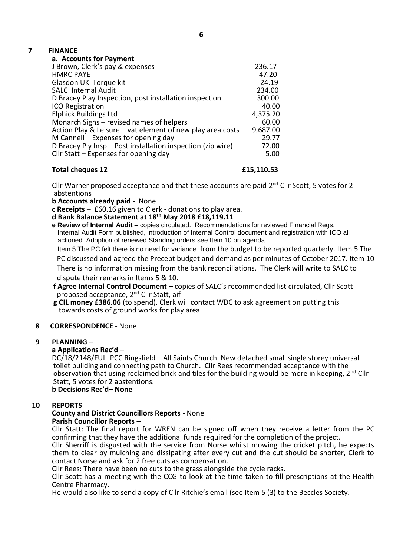# **7 FINANCE**

| 236.17   |
|----------|
| 47.20    |
| 24.19    |
| 234.00   |
| 300.00   |
| 40.00    |
| 4,375.20 |
| 60.00    |
| 9,687.00 |
| 29.77    |
| 72.00    |
| 5.00     |
|          |

## **Total cheques 12 £15,110.53**

Cllr Warner proposed acceptance and that these accounts are paid 2<sup>nd</sup> Cllr Scott, 5 votes for 2 abstentions

**b Accounts already paid -** None

**c Receipts** – £60.16 given to Clerk - donations to play area.

**d Bank Balance Statement at 18th May 2018 £18,119.11**

**e Review of Internal Audit –** copies circulated. Recommendations for reviewed Financial Regs, Internal Audit Form published, introduction of Internal Control document and registration with ICO all actioned. Adoption of renewed Standing orders see Item 10 on agenda.

 Item 5 The PC felt there is no need for variance from the budget to be reported quarterly. Item 5 The PC discussed and agreed the Precept budget and demand as per minutes of October 2017. Item 10

 There is no information missing from the bank reconciliations. The Clerk will write to SALC to dispute their remarks in Items 5 & 10.

- **f Agree Internal Control Document –** copies of SALC's recommended list circulated, Cllr Scott proposed acceptance, 2nd Cllr Statt, aif
- **g CIL money £386.06** (to spend). Clerk will contact WDC to ask agreement on putting this towards costs of ground works for play area.

## **8 CORRESPONDENCE** - None

## **9 PLANNING –**

## **a Applications Rec'd –**

DC/18/2148/FUL PCC Ringsfield – All Saints Church. New detached small single storey universal toilet building and connecting path to Church. Cllr Rees recommended acceptance with the observation that using reclaimed brick and tiles for the building would be more in keeping,  $2<sup>nd</sup>$  Cllr Statt, 5 votes for 2 abstentions.

**b Decisions Rec'd– None**

## **10 REPORTS**

## **County and District Councillors Reports -** None **Parish Councillor Reports –**

Cllr Statt: The final report for WREN can be signed off when they receive a letter from the PC confirming that they have the additional funds required for the completion of the project.

Cllr Sherriff is disgusted with the service from Norse whilst mowing the cricket pitch, he expects them to clear by mulching and dissipating after every cut and the cut should be shorter, Clerk to contact Norse and ask for 2 free cuts as compensation.

Cllr Rees: There have been no cuts to the grass alongside the cycle racks.

Cllr Scott has a meeting with the CCG to look at the time taken to fill prescriptions at the Health Centre Pharmacy.

He would also like to send a copy of Cllr Ritchie's email (see Item 5 (3) to the Beccles Society.